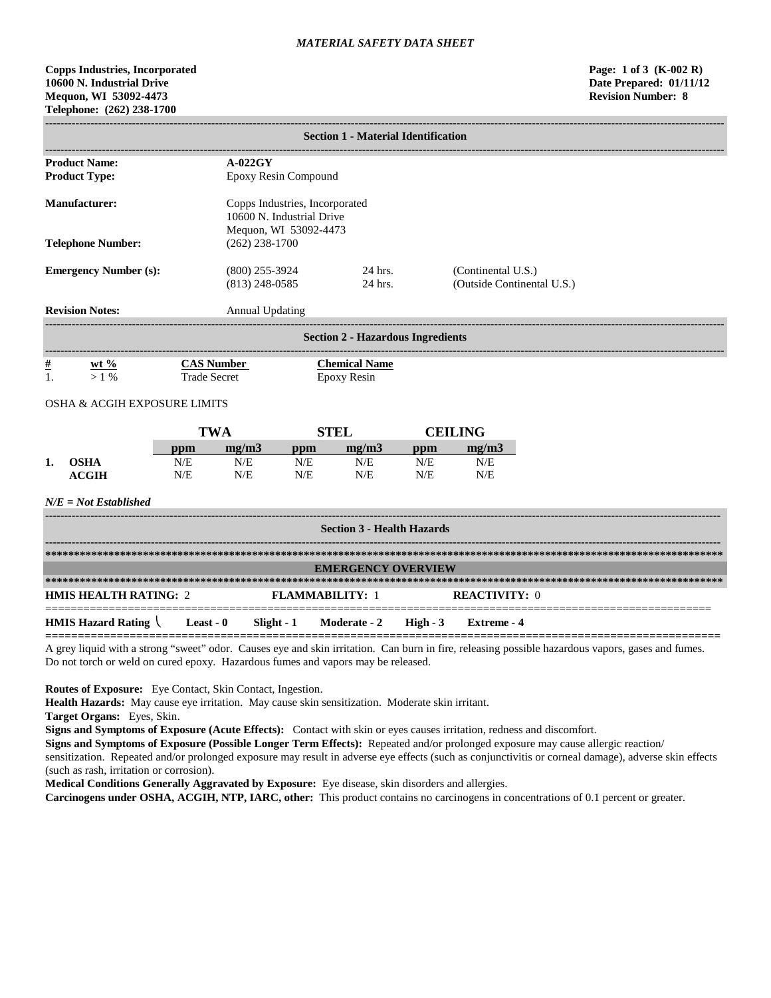# **Copps Industries, Incorporated Page: 1 of 3 (K-002 R) 10600 N. Industrial Drive Date Prepared: 01/11/12 Mequon, WI 53092-4473 Revision Number: 8 Telephone: (262) 238-1700**

|                                                                                   | <b>Section 1 - Material Identification</b>                 |                                          |                                      |                                                                                      |                                            |            |                                                  |                                                                                                                                                 |
|-----------------------------------------------------------------------------------|------------------------------------------------------------|------------------------------------------|--------------------------------------|--------------------------------------------------------------------------------------|--------------------------------------------|------------|--------------------------------------------------|-------------------------------------------------------------------------------------------------------------------------------------------------|
| $A-022GY$<br><b>Product Name:</b><br><b>Product Type:</b><br>Epoxy Resin Compound |                                                            |                                          |                                      |                                                                                      |                                            |            |                                                  |                                                                                                                                                 |
|                                                                                   | <b>Manufacturer:</b>                                       |                                          |                                      | Copps Industries, Incorporated<br>10600 N. Industrial Drive<br>Mequon, WI 53092-4473 |                                            |            |                                                  |                                                                                                                                                 |
|                                                                                   | <b>Telephone Number:</b>                                   |                                          | $(262)$ 238-1700                     |                                                                                      |                                            |            |                                                  |                                                                                                                                                 |
| <b>Emergency Number (s):</b>                                                      |                                                            |                                          | $(800)$ 255-3924<br>$(813)$ 248-0585 |                                                                                      | 24 hrs.<br>$24$ hrs.                       |            | (Continental U.S.)<br>(Outside Continental U.S.) |                                                                                                                                                 |
|                                                                                   | <b>Revision Notes:</b>                                     |                                          | <b>Annual Updating</b>               |                                                                                      |                                            |            |                                                  |                                                                                                                                                 |
|                                                                                   |                                                            |                                          |                                      |                                                                                      | <b>Section 2 - Hazardous Ingredients</b>   |            |                                                  |                                                                                                                                                 |
| $\#$<br>1.                                                                        | wt $\%$<br>$>1\%$                                          | <b>CAS Number</b><br><b>Trade Secret</b> |                                      |                                                                                      | <b>Chemical Name</b><br><b>Epoxy Resin</b> |            |                                                  |                                                                                                                                                 |
|                                                                                   | <b>OSHA &amp; ACGIH EXPOSURE LIMITS</b>                    |                                          |                                      |                                                                                      |                                            |            |                                                  |                                                                                                                                                 |
|                                                                                   |                                                            | <b>TWA</b>                               |                                      |                                                                                      | <b>STEL</b>                                |            | <b>CEILING</b>                                   |                                                                                                                                                 |
|                                                                                   |                                                            | ppm                                      | mg/m3                                | ppm                                                                                  | mg/m3                                      | ppm        | mg/m3                                            |                                                                                                                                                 |
| 1.                                                                                | <b>OSHA</b><br><b>ACGIH</b>                                | N/E<br>N/E                               | N/E<br>N/E                           | N/E<br>N/E                                                                           | N/E<br>N/E                                 | N/E<br>N/E | N/E<br>N/E                                       |                                                                                                                                                 |
|                                                                                   | $N/E = Not$ Established                                    |                                          |                                      |                                                                                      |                                            |            |                                                  |                                                                                                                                                 |
|                                                                                   |                                                            |                                          |                                      |                                                                                      | <b>Section 3 - Health Hazards</b>          |            |                                                  |                                                                                                                                                 |
|                                                                                   |                                                            |                                          |                                      |                                                                                      |                                            |            |                                                  |                                                                                                                                                 |
|                                                                                   |                                                            |                                          |                                      |                                                                                      | <b>EMERGENCY OVERVIEW</b>                  |            |                                                  |                                                                                                                                                 |
|                                                                                   | <b>HMIS HEALTH RATING: 2</b>                               |                                          |                                      | <b>FLAMMABILITY: 1</b>                                                               |                                            |            | <b>REACTIVITY: 0</b>                             |                                                                                                                                                 |
|                                                                                   | <b>HMIS Hazard Rating <math>\setminus</math> Least - 0</b> |                                          |                                      | $Slight - 1$                                                                         | Moderate - 2                               | $High - 3$ | <b>Extreme</b> - 4                               |                                                                                                                                                 |
|                                                                                   |                                                            |                                          |                                      |                                                                                      |                                            |            |                                                  | grove liquid with a strong "sweet" ador. Causes ave and skin irritation. Can burn in fire, releasing possible begardens veners, gases and fumer |

A grey liquid with a strong "sweet" odor. Causes eye and skin irritation. Can burn in fire, releasing possible hazardous vapors, gases and fumes. Do not torch or weld on cured epoxy. Hazardous fumes and vapors may be released.

**Routes of Exposure:** Eye Contact, Skin Contact, Ingestion.

**Health Hazards:** May cause eye irritation. May cause skin sensitization. Moderate skin irritant.

**Target Organs:** Eyes, Skin.

**Signs and Symptoms of Exposure (Acute Effects):** Contact with skin or eyes causes irritation, redness and discomfort.

**Signs and Symptoms of Exposure (Possible Longer Term Effects):** Repeated and/or prolonged exposure may cause allergic reaction/ sensitization. Repeated and/or prolonged exposure may result in adverse eye effects (such as conjunctivitis or corneal damage), adverse skin effects (such as rash, irritation or corrosion).

**Medical Conditions Generally Aggravated by Exposure:** Eye disease, skin disorders and allergies.

**Carcinogens under OSHA, ACGIH, NTP, IARC, other:** This product contains no carcinogens in concentrations of 0.1 percent or greater.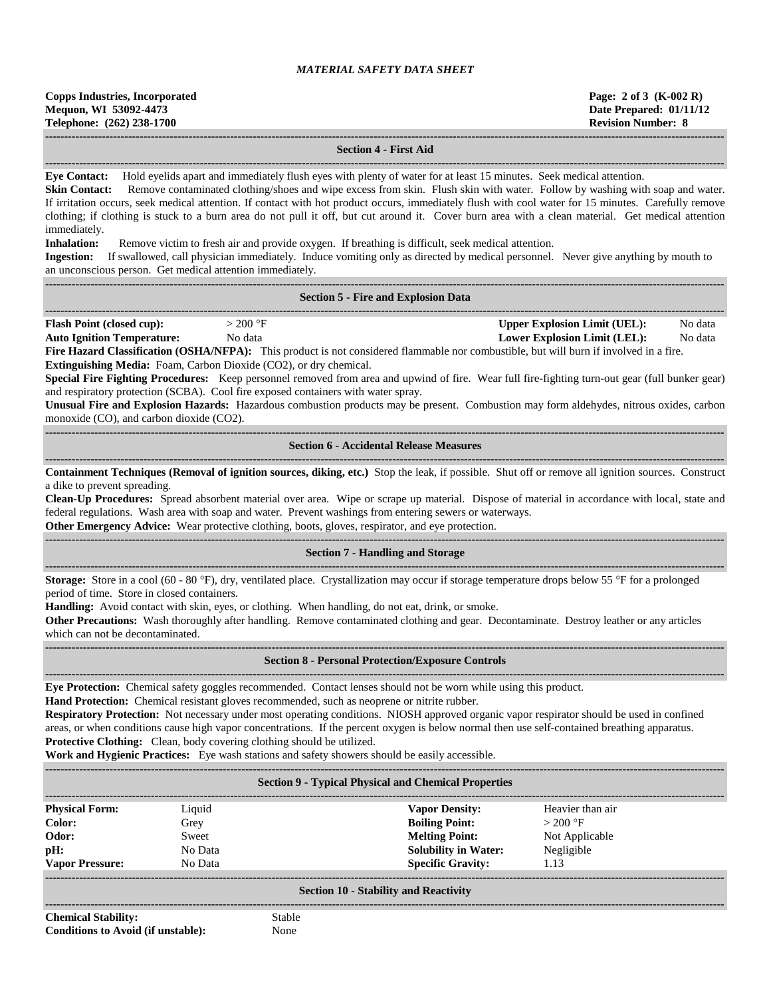**Copps Industries, Incorporated Page: 2 of 3 (K-002 R) Mequon, WI 53092-4473 Date Prepared: 01/11/12 Telephone: (262) 238-1700 Revision Number: 8**

**------------------------------------------------------------------------------------------------------------------------------------------------------------------------------------ Section 4 - First Aid**

**------------------------------------------------------------------------------------------------------------------------------------------------------------------------------------**

**Eye Contact:** Hold eyelids apart and immediately flush eyes with plenty of water for at least 15 minutes. Seek medical attention.

**Skin Contact:** Remove contaminated clothing/shoes and wipe excess from skin. Flush skin with water. Follow by washing with soap and water. If irritation occurs, seek medical attention. If contact with hot product occurs, immediately flush with cool water for 15 minutes. Carefully remove clothing; if clothing is stuck to a burn area do not pull it off, but cut around it. Cover burn area with a clean material. Get medical attention immediately.

**Inhalation:** Remove victim to fresh air and provide oxygen. If breathing is difficult, seek medical attention.

**Ingestion:** If swallowed, call physician immediately. Induce vomiting only as directed by medical personnel. Never give anything by mouth to an unconscious person. Get medical attention immediately. **------------------------------------------------------------------------------------------------------------------------------------------------------------------------------------**

| <b>Section 5 - Fire and Explosion Data</b>                                                                                                                                                                                                                                                                                                                                                                                                                                                                                                                                                                                                                                                                                                         |                                                                            |                    |  |  |  |
|----------------------------------------------------------------------------------------------------------------------------------------------------------------------------------------------------------------------------------------------------------------------------------------------------------------------------------------------------------------------------------------------------------------------------------------------------------------------------------------------------------------------------------------------------------------------------------------------------------------------------------------------------------------------------------------------------------------------------------------------------|----------------------------------------------------------------------------|--------------------|--|--|--|
| $>200$ °F<br><b>Flash Point (closed cup):</b><br><b>Auto Ignition Temperature:</b><br>No data<br>Fire Hazard Classification (OSHA/NFPA): This product is not considered flammable nor combustible, but will burn if involved in a fire.<br><b>Extinguishing Media:</b> Foam, Carbon Dioxide (CO2), or dry chemical.<br>Special Fire Fighting Procedures: Keep personnel removed from area and upwind of fire. Wear full fire-fighting turn-out gear (full bunker gear)<br>and respiratory protection (SCBA). Cool fire exposed containers with water spray.<br>Unusual Fire and Explosion Hazards: Hazardous combustion products may be present. Combustion may form aldehydes, nitrous oxides, carbon<br>monoxide (CO), and carbon dioxide (CO2). | <b>Upper Explosion Limit (UEL):</b><br><b>Lower Explosion Limit (LEL):</b> | No data<br>No data |  |  |  |
| <b>Section 6 - Accidental Release Measures</b>                                                                                                                                                                                                                                                                                                                                                                                                                                                                                                                                                                                                                                                                                                     |                                                                            |                    |  |  |  |
| Containment Techniques (Removal of ignition sources, diking, etc.) Stop the leak, if possible. Shut off or remove all ignition sources. Construct<br>a dike to prevent spreading.<br>Clean-Up Procedures: Spread absorbent material over area. Wipe or scrape up material. Dispose of material in accordance with local, state and<br>federal regulations. Wash area with soap and water. Prevent washings from entering sewers or waterways.<br><b>Other Emergency Advice:</b> Wear protective clothing, boots, gloves, respirator, and eye protection.                                                                                                                                                                                           |                                                                            |                    |  |  |  |
| <b>Section 7 - Handling and Storage</b>                                                                                                                                                                                                                                                                                                                                                                                                                                                                                                                                                                                                                                                                                                            |                                                                            |                    |  |  |  |
| <b>Storage:</b> Store in a cool (60 - 80 °F), dry, ventilated place. Crystallization may occur if storage temperature drops below 55 °F for a prolonged<br>period of time. Store in closed containers.<br><b>Handling:</b> Avoid contact with skin, eyes, or clothing. When handling, do not eat, drink, or smoke.<br>Other Precautions: Wash thoroughly after handling. Remove contaminated clothing and gear. Decontaminate. Destroy leather or any articles                                                                                                                                                                                                                                                                                     |                                                                            |                    |  |  |  |

which can not be decontaminated. **------------------------------------------------------------------------------------------------------------------------------------------------------------------------------------**

**Section 8 - Personal Protection/Exposure Controls** 

**Eye Protection:** Chemical safety goggles recommended. Contact lenses should not be worn while using this product.

**Hand Protection:** Chemical resistant gloves recommended, such as neoprene or nitrite rubber.

**Respiratory Protection:** Not necessary under most operating conditions. NIOSH approved organic vapor respirator should be used in confined areas, or when conditions cause high vapor concentrations. If the percent oxygen is below normal then use self-contained breathing apparatus. **Protective Clothing:** Clean, body covering clothing should be utilized.

**Work and Hygienic Practices:** Eye wash stations and safety showers should be easily accessible.

**------------------------------------------------------------------------------------------------------------------------------------------------------------------------------------**

| <b>Section 9 - Typical Physical and Chemical Properties</b> |         |                             |                  |  |  |  |  |
|-------------------------------------------------------------|---------|-----------------------------|------------------|--|--|--|--|
| <b>Physical Form:</b>                                       | Liquid  | <b>Vapor Density:</b>       | Heavier than air |  |  |  |  |
| Color:                                                      | Grey    | <b>Boiling Point:</b>       | $>200$ °F        |  |  |  |  |
| Odor:                                                       | Sweet   | <b>Melting Point:</b>       | Not Applicable   |  |  |  |  |
| pH:                                                         | No Data | <b>Solubility in Water:</b> | Negligible       |  |  |  |  |
| <b>Vapor Pressure:</b>                                      | No Data | <b>Specific Gravity:</b>    | 1.13             |  |  |  |  |
| <b>Section 10 - Stability and Reactivity</b>                |         |                             |                  |  |  |  |  |

**Chemical Stability:** Stable **Conditions to Avoid (if unstable):** None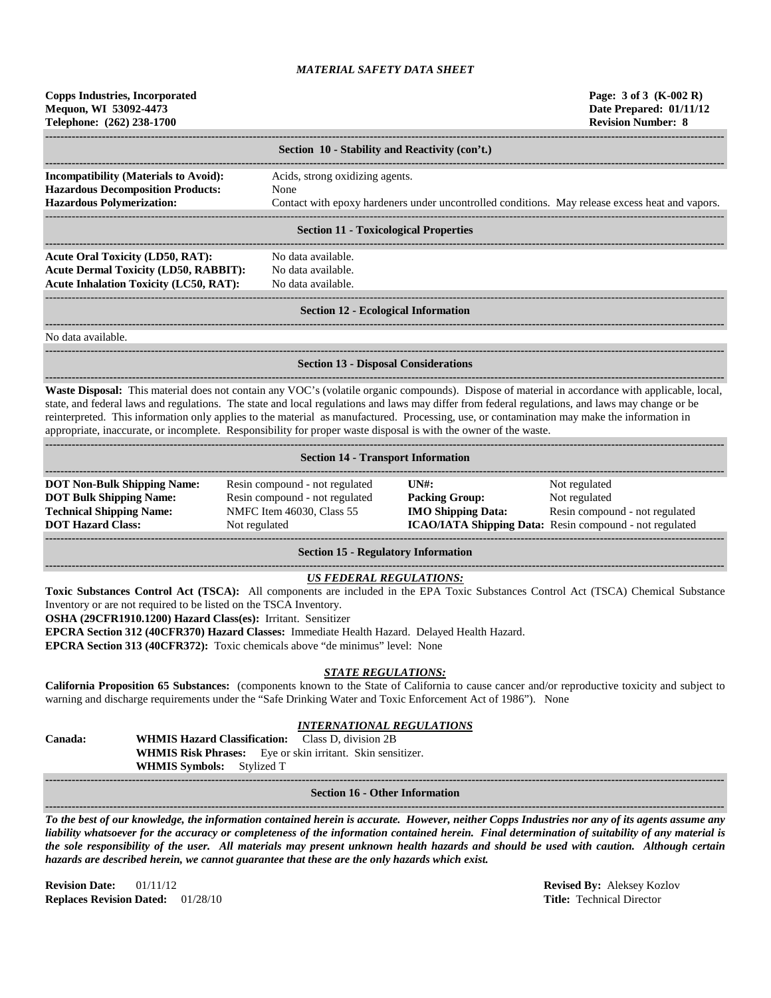| <b>Copps Industries, Incorporated</b><br>Mequon, WI 53092-4473<br>Telephone: (262) 238-1700                                                                                                                                                                                                                                                                                                                                                                                                                                                                             |                                                                                                                        |                                                    | Page: 3 of 3 (K-002 R)<br>Date Prepared: 01/11/12<br><b>Revision Number: 8</b>                  |  |  |
|-------------------------------------------------------------------------------------------------------------------------------------------------------------------------------------------------------------------------------------------------------------------------------------------------------------------------------------------------------------------------------------------------------------------------------------------------------------------------------------------------------------------------------------------------------------------------|------------------------------------------------------------------------------------------------------------------------|----------------------------------------------------|-------------------------------------------------------------------------------------------------|--|--|
|                                                                                                                                                                                                                                                                                                                                                                                                                                                                                                                                                                         | Section 10 - Stability and Reactivity (con't.)                                                                         |                                                    |                                                                                                 |  |  |
| Incompatibility (Materials to Avoid):                                                                                                                                                                                                                                                                                                                                                                                                                                                                                                                                   | Acids, strong oxidizing agents.                                                                                        |                                                    |                                                                                                 |  |  |
| <b>Hazardous Decomposition Products:</b>                                                                                                                                                                                                                                                                                                                                                                                                                                                                                                                                | None                                                                                                                   |                                                    |                                                                                                 |  |  |
| <b>Hazardous Polymerization:</b>                                                                                                                                                                                                                                                                                                                                                                                                                                                                                                                                        |                                                                                                                        |                                                    | Contact with epoxy hardeners under uncontrolled conditions. May release excess heat and vapors. |  |  |
|                                                                                                                                                                                                                                                                                                                                                                                                                                                                                                                                                                         | <b>Section 11 - Toxicological Properties</b>                                                                           |                                                    |                                                                                                 |  |  |
| <b>Acute Oral Toxicity (LD50, RAT):</b>                                                                                                                                                                                                                                                                                                                                                                                                                                                                                                                                 | No data available.                                                                                                     |                                                    |                                                                                                 |  |  |
| <b>Acute Dermal Toxicity (LD50, RABBIT):</b>                                                                                                                                                                                                                                                                                                                                                                                                                                                                                                                            | No data available.                                                                                                     |                                                    |                                                                                                 |  |  |
| <b>Acute Inhalation Toxicity (LC50, RAT):</b><br>No data available.                                                                                                                                                                                                                                                                                                                                                                                                                                                                                                     |                                                                                                                        |                                                    |                                                                                                 |  |  |
|                                                                                                                                                                                                                                                                                                                                                                                                                                                                                                                                                                         | <b>Section 12 - Ecological Information</b>                                                                             |                                                    |                                                                                                 |  |  |
| No data available.                                                                                                                                                                                                                                                                                                                                                                                                                                                                                                                                                      |                                                                                                                        |                                                    |                                                                                                 |  |  |
|                                                                                                                                                                                                                                                                                                                                                                                                                                                                                                                                                                         | <b>Section 13 - Disposal Considerations</b>                                                                            |                                                    |                                                                                                 |  |  |
| Waste Disposal: This material does not contain any VOC's (volatile organic compounds). Dispose of material in accordance with applicable, local,<br>state, and federal laws and regulations. The state and local regulations and laws may differ from federal regulations, and laws may change or be<br>reinterpreted. This information only applies to the material as manufactured. Processing, use, or contamination may make the information in<br>appropriate, inaccurate, or incomplete. Responsibility for proper waste disposal is with the owner of the waste. |                                                                                                                        |                                                    |                                                                                                 |  |  |
|                                                                                                                                                                                                                                                                                                                                                                                                                                                                                                                                                                         | <b>Section 14 - Transport Information</b>                                                                              |                                                    |                                                                                                 |  |  |
| <b>DOT Non-Bulk Shipping Name:</b>                                                                                                                                                                                                                                                                                                                                                                                                                                                                                                                                      | Resin compound - not regulated                                                                                         | $UN#$ :                                            | Not regulated                                                                                   |  |  |
| <b>DOT Bulk Shipping Name:</b><br><b>Technical Shipping Name:</b>                                                                                                                                                                                                                                                                                                                                                                                                                                                                                                       | Resin compound - not regulated<br>NMFC Item 46030, Class 55                                                            | <b>Packing Group:</b><br><b>IMO Shipping Data:</b> | Not regulated<br>Resin compound - not regulated                                                 |  |  |
| <b>DOT Hazard Class:</b>                                                                                                                                                                                                                                                                                                                                                                                                                                                                                                                                                | Not regulated                                                                                                          |                                                    | ICAO/IATA Shipping Data: Resin compound - not regulated                                         |  |  |
|                                                                                                                                                                                                                                                                                                                                                                                                                                                                                                                                                                         | <b>Section 15 - Regulatory Information</b>                                                                             |                                                    |                                                                                                 |  |  |
| Toxic Substances Control Act (TSCA): All components are included in the EPA Toxic Substances Control Act (TSCA) Chemical Substance<br>Inventory or are not required to be listed on the TSCA Inventory.<br>OSHA (29CFR1910.1200) Hazard Class(es): Irritant. Sensitizer<br>EPCRA Section 312 (40CFR370) Hazard Classes: Immediate Health Hazard. Delayed Health Hazard.<br>EPCRA Section 313 (40CFR372): Toxic chemicals above "de minimus" level: None                                                                                                                 | <b>US FEDERAL REGULATIONS:</b>                                                                                         |                                                    |                                                                                                 |  |  |
| California Proposition 65 Substances: (components known to the State of California to cause cancer and/or reproductive toxicity and subject to<br>warning and discharge requirements under the "Safe Drinking Water and Toxic Enforcement Act of 1986"). None                                                                                                                                                                                                                                                                                                           | <b>STATE REGULATIONS:</b>                                                                                              |                                                    |                                                                                                 |  |  |
| Canada:<br><b>WHMIS Hazard Classification:</b><br>WHMIS Symbols: Stylized T                                                                                                                                                                                                                                                                                                                                                                                                                                                                                             | <b>INTERNATIONAL REGULATIONS</b><br>Class D, division 2B<br>WHMIS Risk Phrases: Eye or skin irritant. Skin sensitizer. |                                                    |                                                                                                 |  |  |
|                                                                                                                                                                                                                                                                                                                                                                                                                                                                                                                                                                         | <b>Section 16 - Other Information</b>                                                                                  |                                                    |                                                                                                 |  |  |
| To the best of our knowledge, the information contained herein is accurate. However, neither Copps Industries nor any of its agents assume any<br>liability whatsoever for the accuracy or completeness of the information contained herein. Final determination of suitability of any material is                                                                                                                                                                                                                                                                      |                                                                                                                        |                                                    |                                                                                                 |  |  |

*the sole responsibility of the user. All materials may present unknown health hazards and should be used with caution. Although certain hazards are described herein, we cannot guarantee that these are the only hazards which exist.*

**Revision Date:** 01/11/12 **Revised By:** Aleksey Kozlov **Replaces Revision Dated:** 01/28/10 **Title:** Technical Director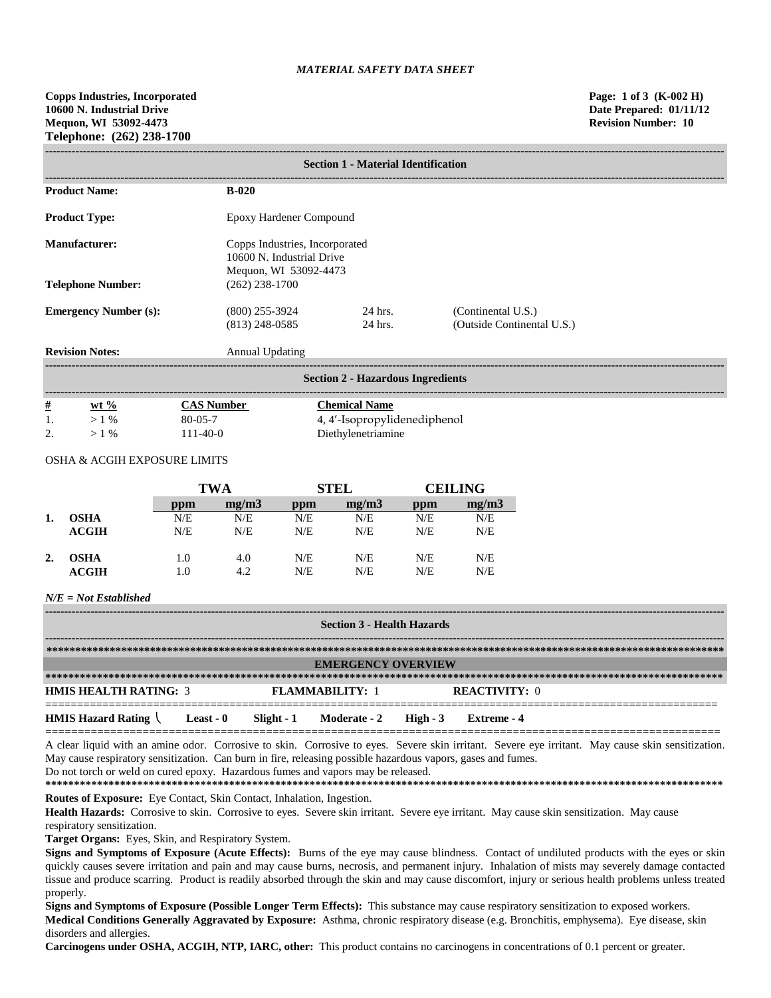| <b>Section 1 - Material Identification</b> |                                      |                                                             |                                                  |  |  |  |
|--------------------------------------------|--------------------------------------|-------------------------------------------------------------|--------------------------------------------------|--|--|--|
| <b>Product Name:</b>                       | $B-020$                              |                                                             |                                                  |  |  |  |
| <b>Product Type:</b>                       | Epoxy Hardener Compound              |                                                             |                                                  |  |  |  |
| Manufacturer:                              | Mequon, WI 53092-4473                | Copps Industries, Incorporated<br>10600 N. Industrial Drive |                                                  |  |  |  |
| <b>Telephone Number:</b>                   | $(262)$ 238-1700                     |                                                             |                                                  |  |  |  |
| <b>Emergency Number (s):</b>               | $(800)$ 255-3924<br>$(813)$ 248-0585 | 24 hrs.<br>24 hrs.                                          | (Continental U.S.)<br>(Outside Continental U.S.) |  |  |  |
| <b>Revision Notes:</b>                     | Annual Updating                      |                                                             |                                                  |  |  |  |

|   | <b>Section 2 - Hazardous Ingredients</b> |                   |                              |  |  |  |  |
|---|------------------------------------------|-------------------|------------------------------|--|--|--|--|
| # | $wt %$                                   | <b>CAS Number</b> | <b>Chemical Name</b>         |  |  |  |  |
|   | $>1\%$                                   | 80-05-7           | 4, 4'-Isopropylidenediphenol |  |  |  |  |
|   | $>1\%$                                   | $111 - 40 - 0$    | Diethylenetriamine           |  |  |  |  |

## OSHA & ACGIH EXPOSURE LIMITS

|    |             | <b>TWA</b> |       | <b>STEL</b> |       | <b>CEILING</b> |       |
|----|-------------|------------|-------|-------------|-------|----------------|-------|
|    |             | ppm        | mg/m3 | ppm         | mg/m3 | ppm            | mg/m3 |
| 1. | <b>OSHA</b> | N/E        | N/E   | N/E         | N/E   | N/E            | N/E   |
|    | ACGIH       | N/E        | N/E   | N/E         | N/E   | N/E            | N/E   |
| 2. | <b>OSHA</b> | 1.0        | 4.0   | N/E         | N/E   | N/E            | N/E   |
|    | ACGIH       | 1.0        | 4.2   | N/E         | N/E   | N/E            | N/E   |

## *N/E = Not Established*

| <b>Section 3 - Health Hazards</b> |                           |            |                        |          |                      |  |
|-----------------------------------|---------------------------|------------|------------------------|----------|----------------------|--|
|                                   |                           |            |                        |          |                      |  |
|                                   | <b>EMERGENCY OVERVIEW</b> |            |                        |          |                      |  |
|                                   |                           |            |                        |          |                      |  |
| <b>HMIS HEALTH RATING: 3</b>      |                           |            | <b>FLAMMARILITY: 1</b> |          | <b>REACTIVITY: 0</b> |  |
| <b>HMIS Hazard Rating</b>         | Least - 0                 | Slight - 1 | <b>Moderate - 2</b>    | $High-3$ | Extreme - 4          |  |

**========================================================================================================** A clear liquid with an amine odor. Corrosive to skin. Corrosive to eyes. Severe skin irritant. Severe eye irritant. May cause skin sensitization. May cause respiratory sensitization. Can burn in fire, releasing possible hazardous vapors, gases and fumes.

Do not torch or weld on cured epoxy. Hazardous fumes and vapors may be released.

**\*\*\*\*\*\*\*\*\*\*\*\*\*\*\*\*\*\*\*\*\*\*\*\*\*\*\*\*\*\*\*\*\*\*\*\*\*\*\*\*\*\*\*\*\*\*\*\*\*\*\*\*\*\*\*\*\*\*\*\*\*\*\*\*\*\*\*\*\*\*\*\*\*\*\*\*\*\*\*\*\*\*\*\*\*\*\*\*\*\*\*\*\*\*\*\*\*\*\*\*\*\*\*\*\*\*\*\*\*\*\*\*\*\*\*\*\*\***

**Routes of Exposure:** Eye Contact, Skin Contact, Inhalation, Ingestion.

Health Hazards: Corrosive to skin. Corrosive to eyes. Severe skin irritant. Severe eye irritant. May cause skin sensitization. May cause respiratory sensitization.

**Target Organs:** Eyes, Skin, and Respiratory System.

**Signs and Symptoms of Exposure (Acute Effects):** Burns of the eye may cause blindness. Contact of undiluted products with the eyes or skin quickly causes severe irritation and pain and may cause burns, necrosis, and permanent injury. Inhalation of mists may severely damage contacted tissue and produce scarring. Product is readily absorbed through the skin and may cause discomfort, injury or serious health problems unless treated properly.

**Signs and Symptoms of Exposure (Possible Longer Term Effects):** This substance may cause respiratory sensitization to exposed workers. **Medical Conditions Generally Aggravated by Exposure:** Asthma, chronic respiratory disease (e.g. Bronchitis, emphysema). Eye disease, skin disorders and allergies.

**Carcinogens under OSHA, ACGIH, NTP, IARC, other:** This product contains no carcinogens in concentrations of 0.1 percent or greater.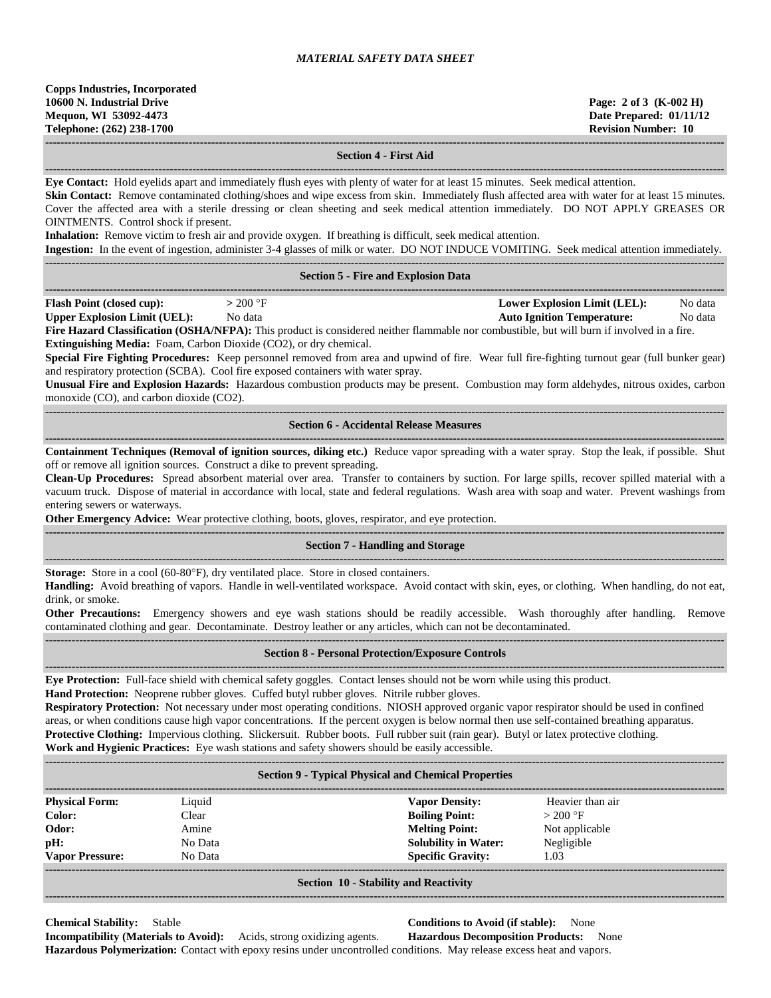**Copps Industries, Incorporated 10600 N. Industrial Drive Page: 2 of 3 (K-002 H) Mequon, WI 53092-4473 Date Prepared: 01/11/12 Telephone: (262) 238-1700 Revision Number: 10**

**------------------------------------------------------------------------------------------------------------------------------------------------------------------------------------ Section 4 - First Aid**

**------------------------------------------------------------------------------------------------------------------------------------------------------------------------------------ Eye Contact:** Hold eyelids apart and immediately flush eyes with plenty of water for at least 15 minutes. Seek medical attention.

**Skin Contact:** Remove contaminated clothing/shoes and wipe excess from skin. Immediately flush affected area with water for at least 15 minutes. Cover the affected area with a sterile dressing or clean sheeting and seek medical attention immediately. DO NOT APPLY GREASES OR OINTMENTS. Control shock if present.

**Inhalation:** Remove victim to fresh air and provide oxygen. If breathing is difficult, seek medical attention.

**Ingestion:** In the event of ingestion, administer 3-4 glasses of milk or water. DO NOT INDUCE VOMITING. Seek medical attention immediately.

| <b>Section 5 - Fire and Explosion Data</b>                                                                                                 |           |                                   |         |  |  |
|--------------------------------------------------------------------------------------------------------------------------------------------|-----------|-----------------------------------|---------|--|--|
| <b>Flash Point (closed cup):</b>                                                                                                           | $>200$ °F | Lower Explosion Limit (LEL):      | No data |  |  |
| <b>Upper Explosion Limit (UEL):</b>                                                                                                        | No data   | <b>Auto Ignition Temperature:</b> | No data |  |  |
| Fire Hazard Classification (OSHA/NFPA): This product is considered neither flammable nor combustible, but will burn if involved in a fire. |           |                                   |         |  |  |

**Extinguishing Media:** Foam, Carbon Dioxide (CO2), or dry chemical.

**Special Fire Fighting Procedures:** Keep personnel removed from area and upwind of fire. Wear full fire-fighting turnout gear (full bunker gear) and respiratory protection (SCBA). Cool fire exposed containers with water spray.

**Unusual Fire and Explosion Hazards:** Hazardous combustion products may be present. Combustion may form aldehydes, nitrous oxides, carbon monoxide (CO), and carbon dioxide (CO2).

**------------------------------------------------------------------------------------------------------------------------------------------------------------------------------------ Section 6 - Accidental Release Measures**

**------------------------------------------------------------------------------------------------------------------------------------------------------------------------------------ Containment Techniques (Removal of ignition sources, diking etc.)** Reduce vapor spreading with a water spray. Stop the leak, if possible. Shut off or remove all ignition sources. Construct a dike to prevent spreading.

**Clean-Up Procedures:** Spread absorbent material over area. Transfer to containers by suction. For large spills, recover spilled material with a vacuum truck. Dispose of material in accordance with local, state and federal regulations. Wash area with soap and water. Prevent washings from entering sewers or waterways.

**Other Emergency Advice:** Wear protective clothing, boots, gloves, respirator, and eye protection.

#### **------------------------------------------------------------------------------------------------------------------------------------------------------------------------------------ Section 7 - Handling and Storage**

**------------------------------------------------------------------------------------------------------------------------------------------------------------------------------------**

**Storage:** Store in a cool (60-80°F), dry ventilated place. Store in closed containers.

**Handling:** Avoid breathing of vapors. Handle in well-ventilated workspace. Avoid contact with skin, eyes, or clothing. When handling, do not eat, drink, or smoke.

**Other Precautions:** Emergency showers and eye wash stations should be readily accessible. Wash thoroughly after handling. Remove contaminated clothing and gear. Decontaminate. Destroy leather or any articles, which can not be decontaminated.

#### **------------------------------------------------------------------------------------------------------------------------------------------------------------------------------------ Section 8 - Personal Protection/Exposure Controls**

**------------------------------------------------------------------------------------------------------------------------------------------------------------------------------------ Eye Protection:** Full-face shield with chemical safety goggles. Contact lenses should not be worn while using this product.

**Hand Protection:** Neoprene rubber gloves. Cuffed butyl rubber gloves. Nitrile rubber gloves.

**Respiratory Protection:** Not necessary under most operating conditions. NIOSH approved organic vapor respirator should be used in confined areas, or when conditions cause high vapor concentrations. If the percent oxygen is below normal then use self-contained breathing apparatus. **Protective Clothing:** Impervious clothing. Slickersuit. Rubber boots. Full rubber suit (rain gear). Butyl or latex protective clothing.

**Work and Hygienic Practices:** Eye wash stations and safety showers should be easily accessible.

| <b>Section 9 - Typical Physical and Chemical Properties</b> |         |                             |                  |  |  |  |
|-------------------------------------------------------------|---------|-----------------------------|------------------|--|--|--|
| <b>Physical Form:</b>                                       | Liquid  | <b>Vapor Density:</b>       | Heavier than air |  |  |  |
| Color:                                                      | Clear   | <b>Boiling Point:</b>       | $> 200$ °F       |  |  |  |
| Odor:                                                       | Amine   | <b>Melting Point:</b>       | Not applicable   |  |  |  |
| pH:                                                         | No Data | <b>Solubility in Water:</b> | Negligible       |  |  |  |
| <b>Vapor Pressure:</b>                                      | No Data | <b>Specific Gravity:</b>    | 1.03             |  |  |  |
| <b>Section 10 - Stability and Reactivity</b>                |         |                             |                  |  |  |  |

**Chemical Stability:** Stable **Conditions to Avoid (if stable):** None **Incompatibility (Materials to Avoid):** Acids, strong oxidizing agents. **Hazardous Decomposition Products:** None

**Hazardous Polymerization:** Contact with epoxy resins under uncontrolled conditions. May release excess heat and vapors.